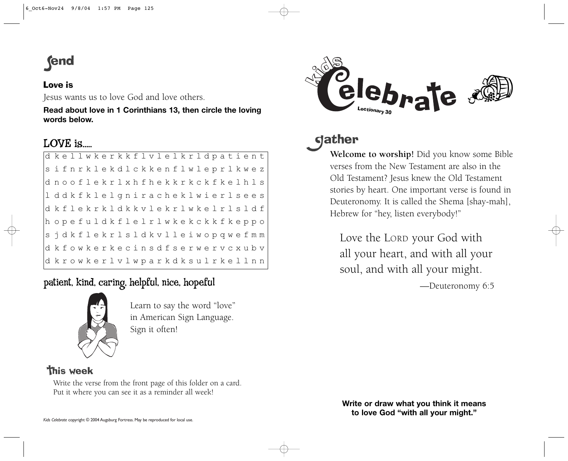# **end**

### Love is

Jesus wants us to love God and love others.

**Read about love in 1 Corinthians 13, then circle the loving words below.**

## LOVE is.....

| d kellwkerkkflvlelkrldpatient                           |  |  |  |  |  |  |  |  |  |  |  |  |  |
|---------------------------------------------------------|--|--|--|--|--|--|--|--|--|--|--|--|--|
| sifnrklekdlckkenflwleprlkwez                            |  |  |  |  |  |  |  |  |  |  |  |  |  |
| dnooflekrlxhfhekkrkckfkelhls                            |  |  |  |  |  |  |  |  |  |  |  |  |  |
| lddkfklelgniracheklwierlsees                            |  |  |  |  |  |  |  |  |  |  |  |  |  |
| d kflekrkldkkvlekrlwkelrlsldf                           |  |  |  |  |  |  |  |  |  |  |  |  |  |
| hopefuldkflelrlwkekckkfkeppo                            |  |  |  |  |  |  |  |  |  |  |  |  |  |
| sjdkflekrlsldkvlleiwopqwefmm                            |  |  |  |  |  |  |  |  |  |  |  |  |  |
| d k f o w k e r k e c i n s d f s e r w e r v c x u b v |  |  |  |  |  |  |  |  |  |  |  |  |  |
| d krowkerlvlwparkdksulrkellnn                           |  |  |  |  |  |  |  |  |  |  |  |  |  |

patient, kind, caring, helpful, nice, hopeful



Learn to say the word "love" in American Sign Language. Sign it often!

## **This week**

Write the verse from the front page of this folder on a card. Put it where you can see it as a reminder all week!



## **gather**

**Welcome to worship!** Did you know some Bible verses from the New Testament are also in theOld Testament? Jesus knew the Old Testament stories by heart. One important verse is found in Deuteronomy. It is called the Shema [shay-mah], Hebrew for "hey, listen everybody!"

Love the LORD your God with all your heart, and with all your soul, and with all your might.

—Deuteronomy 6:5

**Write or draw what you think it means to love God "with all your might."**